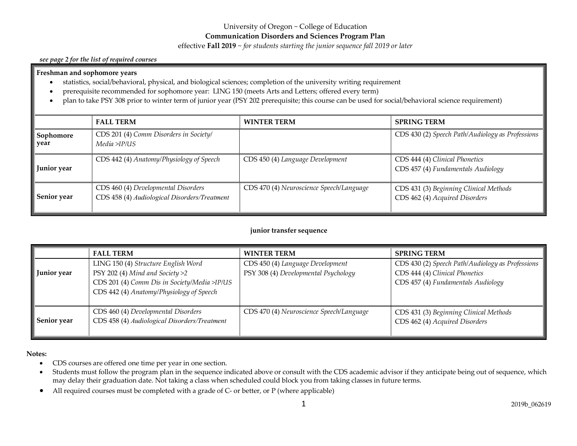# University of Oregon ~ College of Education

**Communication Disorders and Sciences Program Plan**

effective **Fall 2019** ~ *for students starting the junior sequence fall 2019 or later*

#### *see page 2 for the list of required courses*

#### **Freshman and sophomore years**

- statistics, social/behavioral, physical, and biological sciences; completion of the university writing requirement
- prerequisite recommended for sophomore year: LING 150 (meets Arts and Letters; offered every term)
- plan to take PSY 308 prior to winter term of junior year (PSY 202 prerequisite; this course can be used for social/behavioral science requirement)

|                    | <b>FALL TERM</b>                                                                    | <b>WINTER TERM</b>                       | <b>SPRING TERM</b>                                                       |
|--------------------|-------------------------------------------------------------------------------------|------------------------------------------|--------------------------------------------------------------------------|
| Sophomore<br>year  | CDS 201 (4) Comm Disorders in Society/<br>Media >IP/US                              |                                          | CDS 430 (2) Speech Path/Audiology as Professions                         |
| <b>Junior</b> year | CDS 442 (4) Anatomy/Physiology of Speech                                            | CDS 450 (4) Language Development         | CDS 444 (4) Clinical Phonetics<br>CDS 457 (4) Fundamentals Audiology     |
| <b>Senior year</b> | CDS 460 (4) Developmental Disorders<br>CDS 458 (4) Audiological Disorders/Treatment | CDS 470 (4) Neuroscience Speech/Language | CDS 431 (3) Beginning Clinical Methods<br>CDS 462 (4) Acquired Disorders |

#### **junior transfer sequence**

|                         | <b>FALL TERM</b>                                                                                                                                                     | <b>WINTER TERM</b>                                                       | <b>SPRING TERM</b>                                                                                                       |
|-------------------------|----------------------------------------------------------------------------------------------------------------------------------------------------------------------|--------------------------------------------------------------------------|--------------------------------------------------------------------------------------------------------------------------|
| Junior year             | LING 150 (4) Structure English Word<br>PSY 202 (4) Mind and Society $>2$<br>CDS 201 (4) Comm Dis in Society/Media >IP/US<br>CDS 442 (4) Anatomy/Physiology of Speech | CDS 450 (4) Language Development<br>PSY 308 (4) Developmental Psychology | CDS 430 (2) Speech Path/Audiology as Professions<br>CDS 444 (4) Clinical Phonetics<br>CDS 457 (4) Fundamentals Audiology |
| $\parallel$ Senior year | CDS 460 (4) Developmental Disorders<br>CDS 458 (4) Audiological Disorders/Treatment                                                                                  | CDS 470 (4) Neuroscience Speech/Language                                 | CDS 431 (3) Beginning Clinical Methods<br>CDS 462 (4) Acquired Disorders                                                 |

#### **Notes:**

- CDS courses are offered one time per year in one section.
- Students must follow the program plan in the sequence indicated above or consult with the CDS academic advisor if they anticipate being out of sequence, which may delay their graduation date. Not taking a class when scheduled could block you from taking classes in future terms.
- All required courses must be completed with a grade of C- or better, or P (where applicable)